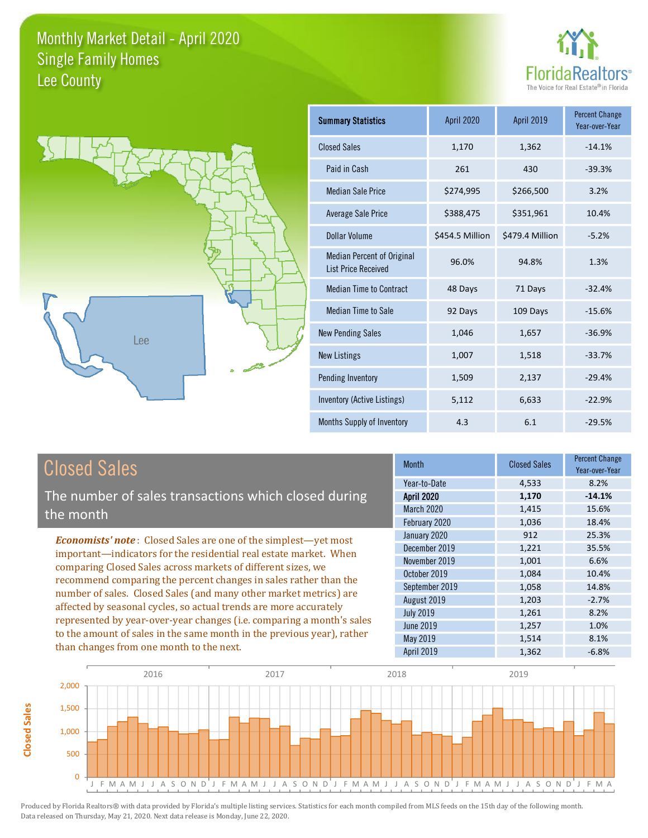



| <b>Summary Statistics</b>                                       | <b>April 2020</b> | April 2019      | <b>Percent Change</b><br>Year-over-Year |
|-----------------------------------------------------------------|-------------------|-----------------|-----------------------------------------|
| <b>Closed Sales</b>                                             | 1,170             | 1,362           | $-14.1%$                                |
| Paid in Cash                                                    | 261               | 430             | $-39.3%$                                |
| <b>Median Sale Price</b>                                        | \$274,995         | \$266,500       | 3.2%                                    |
| Average Sale Price                                              | \$388,475         | \$351,961       | 10.4%                                   |
| Dollar Volume                                                   | \$454.5 Million   | \$479.4 Million | $-5.2%$                                 |
| <b>Median Percent of Original</b><br><b>List Price Received</b> | 96.0%             | 94.8%           | 1.3%                                    |
| <b>Median Time to Contract</b>                                  | 48 Days           | 71 Days         | $-32.4%$                                |
| <b>Median Time to Sale</b>                                      | 92 Days           | 109 Days        | $-15.6%$                                |
| <b>New Pending Sales</b>                                        | 1,046             | 1,657           | $-36.9%$                                |
| <b>New Listings</b>                                             | 1,007             | 1,518           | $-33.7%$                                |
| Pending Inventory                                               | 1,509             | 2,137           | $-29.4%$                                |
| Inventory (Active Listings)                                     | 5,112             | 6,633           | $-22.9%$                                |
| Months Supply of Inventory                                      | 4.3               | 6.1             | $-29.5%$                                |

# **Closed Sales**

Closed Sales

The number of sales transactions which closed during the month

**Economists' note:** Closed Sales are one of the simplest-yet most important-indicators for the residential real estate market. When comparing Closed Sales across markets of different sizes, we recommend comparing the percent changes in sales rather than the number of sales. Closed Sales (and many other market metrics) are affected by seasonal cycles, so actual trends are more accurately represented by year-over-year changes (i.e. comparing a month's sales to the amount of sales in the same month in the previous year), rather than changes from one month to the next.

| Month             | <b>Closed Sales</b> | <b>Percent Change</b><br>Year-over-Year |
|-------------------|---------------------|-----------------------------------------|
| Year-to-Date      | 4,533               | 8.2%                                    |
| <b>April 2020</b> | 1,170               | $-14.1%$                                |
| March 2020        | 1,415               | 15.6%                                   |
| February 2020     | 1,036               | 18.4%                                   |
| January 2020      | 912                 | 25.3%                                   |
| December 2019     | 1,221               | 35.5%                                   |
| November 2019     | 1,001               | 6.6%                                    |
| October 2019      | 1,084               | 10.4%                                   |
| September 2019    | 1,058               | 14.8%                                   |
| August 2019       | 1,203               | $-2.7%$                                 |
| <b>July 2019</b>  | 1,261               | 8.2%                                    |
| <b>June 2019</b>  | 1,257               | 1.0%                                    |
| May 2019          | 1,514               | 8.1%                                    |
| <b>April 2019</b> | 1,362               | $-6.8%$                                 |

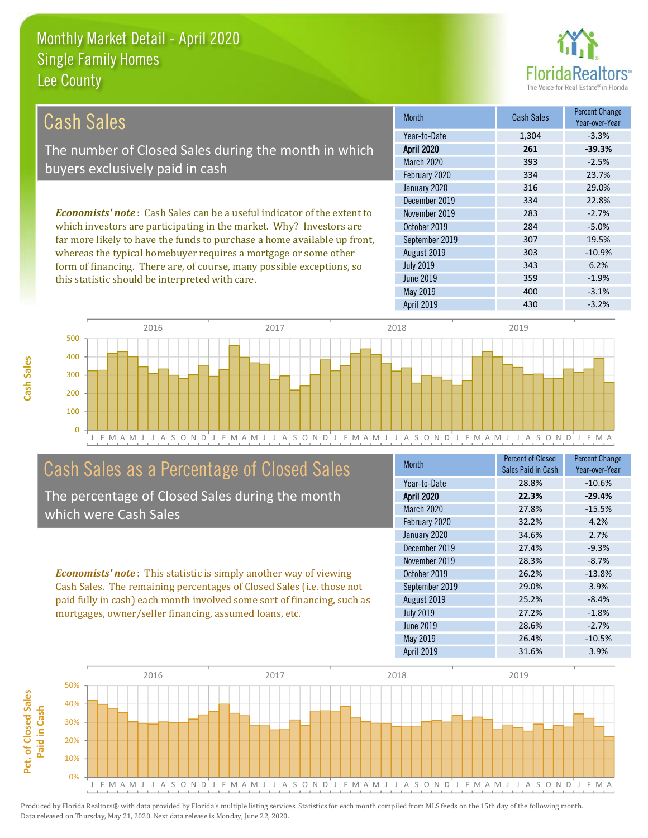

 $-3.1%$ 

 $-3.2%$ 

| Cash Sales                                                                     | <b>Month</b>      | <b>Cash Sales</b> | <b>Percent Change</b><br>Year-over-Year |
|--------------------------------------------------------------------------------|-------------------|-------------------|-----------------------------------------|
|                                                                                | Year-to-Date      | 1,304             | $-3.3%$                                 |
| The number of Closed Sales during the month in which                           | <b>April 2020</b> | 261               | $-39.3%$                                |
| buyers exclusively paid in cash                                                | March 2020        | 393               | $-2.5%$                                 |
|                                                                                | February 2020     | 334               | 23.7%                                   |
|                                                                                | January 2020      | 316               | 29.0%                                   |
|                                                                                | December 2019     | 334               | 22.8%                                   |
| <b>Economists' note:</b> Cash Sales can be a useful indicator of the extent to | November 2019     | 283               | $-2.7%$                                 |
| which investors are participating in the market. Why? Investors are            | October 2019      | 284               | $-5.0%$                                 |
| far more likely to have the funds to purchase a home available up front,       | September 2019    | 307               | 19.5%                                   |
| whereas the typical homebuyer requires a mortgage or some other                | August 2019       | 303               | $-10.9%$                                |
| form of financing. There are, of course, many possible exceptions, so          | <b>July 2019</b>  | 343               | 6.2%                                    |
| this statistic should be interpreted with care.                                | June 2019         | 359               | $-1.9%$                                 |



May 2019

**April 2019** 

## Cash Sales as a Percentage of Closed Sales

The percentage of Closed Sales during the month which were Cash Sales

**Economists' note:** This statistic is simply another way of viewing Cash Sales. The remaining percentages of Closed Sales (i.e. those not paid fully in cash) each month involved some sort of financing, such as mortgages, owner/seller financing, assumed loans, etc.

| Month             | <b>Percent of Closed</b> | <b>Percent Change</b> |
|-------------------|--------------------------|-----------------------|
|                   | Sales Paid in Cash       | Year-over-Year        |
| Year-to-Date      | 28.8%                    | $-10.6%$              |
| <b>April 2020</b> | 22.3%                    | $-29.4%$              |
| March 2020        | 27.8%                    | $-15.5%$              |
| February 2020     | 32.2%                    | 4.2%                  |
| January 2020      | 34.6%                    | 2.7%                  |
| December 2019     | 27.4%                    | $-9.3%$               |
| November 2019     | 28.3%                    | $-8.7%$               |
| October 2019      | 26.2%                    | $-13.8%$              |
| September 2019    | 29.0%                    | 3.9%                  |
| August 2019       | 25.2%                    | $-8.4%$               |
| <b>July 2019</b>  | 27.2%                    | $-1.8%$               |
| <b>June 2019</b>  | 28.6%                    | $-2.7%$               |
| May 2019          | 26.4%                    | $-10.5%$              |
| <b>April 2019</b> | 31.6%                    | 3.9%                  |

400

430

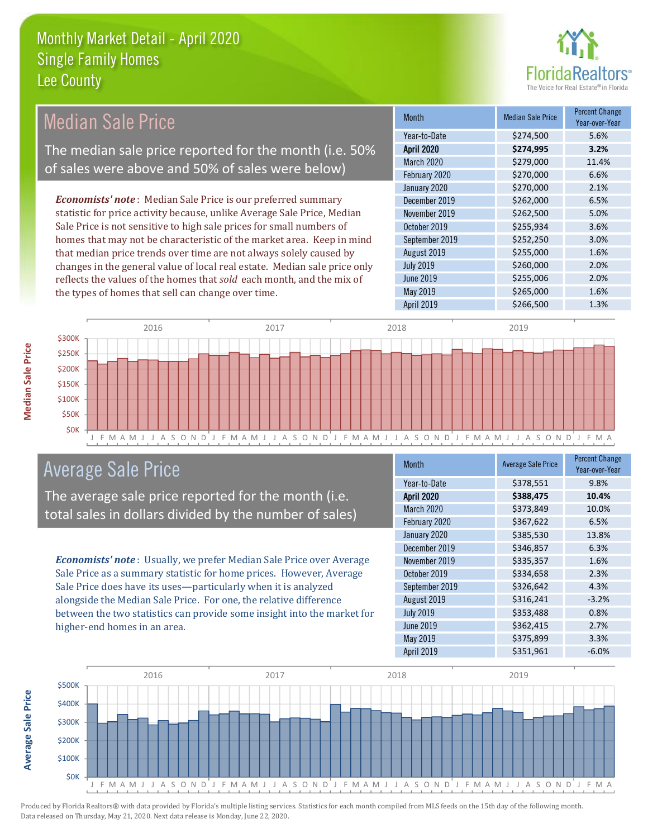the types of homes that sell can change over time.



1.6%

| Median Sale Price                                                         | <b>Month</b>      | <b>Median Sale Price</b> | <b>Percent Change</b><br>Year-over-Year |
|---------------------------------------------------------------------------|-------------------|--------------------------|-----------------------------------------|
|                                                                           | Year-to-Date      | \$274,500                | 5.6%                                    |
| The median sale price reported for the month (i.e. 50%                    | <b>April 2020</b> | \$274,995                | 3.2%                                    |
|                                                                           | March 2020        | \$279,000                | 11.4%                                   |
| of sales were above and 50% of sales were below)                          | February 2020     | \$270,000                | 6.6%                                    |
|                                                                           | January 2020      | \$270,000                | 2.1%                                    |
| <b>Economists' note:</b> Median Sale Price is our preferred summary       | December 2019     | \$262,000                | 6.5%                                    |
| statistic for price activity because, unlike Average Sale Price, Median   | November 2019     | \$262,500                | 5.0%                                    |
| Sale Price is not sensitive to high sale prices for small numbers of      | October 2019      | \$255,934                | 3.6%                                    |
| homes that may not be characteristic of the market area. Keep in mind     | September 2019    | \$252,250                | 3.0%                                    |
| that median price trends over time are not always solely caused by        | August 2019       | \$255,000                | 1.6%                                    |
| changes in the general value of local real estate. Median sale price only | <b>July 2019</b>  | \$260,000                | 2.0%                                    |
| reflects the values of the homes that sold each month, and the mix of     | June 2019         | \$255,006                | 2.0%                                    |

May 2019



# **Average Sale Price**

The average sale price reported for the month (i.e. total sales in dollars divided by the number of sales)

**Economists' note:** Usually, we prefer Median Sale Price over Average Sale Price as a summary statistic for home prices. However, Average Sale Price does have its uses-particularly when it is analyzed alongside the Median Sale Price. For one, the relative difference between the two statistics can provide some insight into the market for higher-end homes in an area.

| <b>Month</b>      | <b>Average Sale Price</b> | <b>Percent Change</b><br>Year-over-Year |
|-------------------|---------------------------|-----------------------------------------|
| Year-to-Date      | \$378,551                 | 9.8%                                    |
| <b>April 2020</b> | \$388,475                 | 10.4%                                   |
| March 2020        | \$373,849                 | 10.0%                                   |
| February 2020     | \$367,622                 | 6.5%                                    |
| January 2020      | \$385,530                 | 13.8%                                   |
| December 2019     | \$346,857                 | 6.3%                                    |
| November 2019     | \$335,357                 | 1.6%                                    |
| October 2019      | \$334,658                 | 2.3%                                    |
| September 2019    | \$326,642                 | 4.3%                                    |
| August 2019       | \$316,241                 | $-3.2%$                                 |
| <b>July 2019</b>  | \$353,488                 | 0.8%                                    |
| <b>June 2019</b>  | \$362,415                 | 2.7%                                    |
| <b>May 2019</b>   | \$375,899                 | 3.3%                                    |
| <b>April 2019</b> | \$351,961                 | $-6.0%$                                 |

\$265,000



Produced by Florida Realtors® with data provided by Florida's multiple listing services. Statistics for each month compiled from MLS feeds on the 15th day of the following month. Data released on Thursday, May 21, 2020. Next data release is Monday, June 22, 2020.

**Average Sale Price**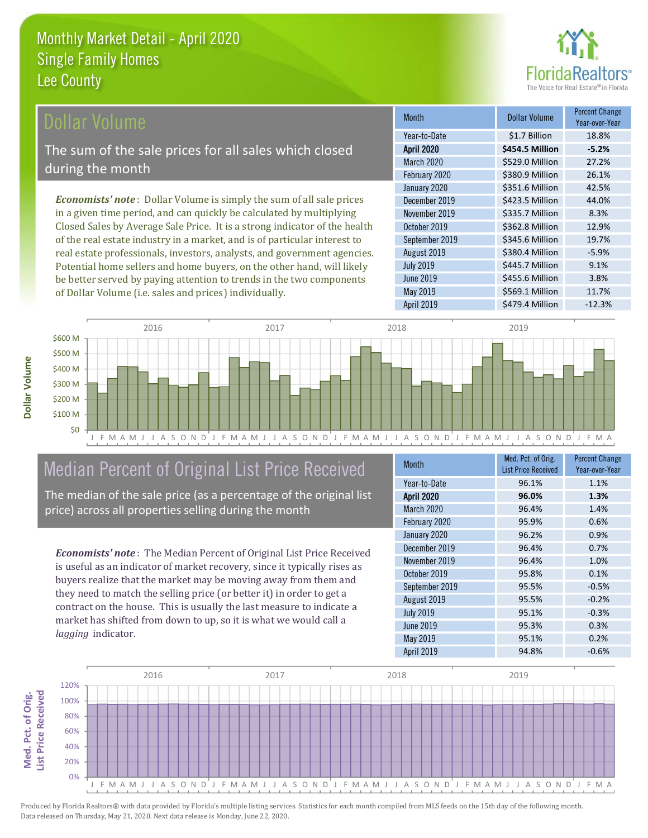

# Dollar Volume

The sum of the sale prices for all sales which closed during the month

**Economists' note**: Dollar Volume is simply the sum of all sale prices in a given time period, and can quickly be calculated by multiplying Closed Sales by Average Sale Price. It is a strong indicator of the health of the real estate industry in a market, and is of particular interest to real estate professionals, investors, analysts, and government agencies. Potential home sellers and home buyers, on the other hand, will likely be better served by paying attention to trends in the two components of Dollar Volume (i.e. sales and prices) individually.

| <b>Month</b>      | <b>Dollar Volume</b> | Percent Change<br>Year-over-Year |
|-------------------|----------------------|----------------------------------|
| Year-to-Date      | \$1.7 Billion        | 18.8%                            |
| <b>April 2020</b> | \$454.5 Million      | $-5.2%$                          |
| March 2020        | \$529.0 Million      | 27.2%                            |
| February 2020     | \$380.9 Million      | 26.1%                            |
| January 2020      | \$351.6 Million      | 42.5%                            |
| December 2019     | \$423.5 Million      | 44.0%                            |
| November 2019     | \$335.7 Million      | 8.3%                             |
| October 2019      | \$362.8 Million      | 12.9%                            |
| September 2019    | \$345.6 Million      | 19.7%                            |
| August 2019       | \$380.4 Million      | $-5.9%$                          |
| <b>July 2019</b>  | \$445.7 Million      | 9.1%                             |
| <b>June 2019</b>  | \$455.6 Million      | 3.8%                             |
| <b>May 2019</b>   | \$569.1 Million      | 11.7%                            |
| <b>April 2019</b> | \$479.4 Million      | $-12.3%$                         |





# Median Percent of Original List Price Received

The median of the sale price (as a percentage of the original list price) across all properties selling during the month

**Economists' note:** The Median Percent of Original List Price Received is useful as an indicator of market recovery, since it typically rises as buyers realize that the market may be moving away from them and they need to match the selling price (or better it) in order to get a contract on the house. This is usually the last measure to indicate a market has shifted from down to up, so it is what we would call a lagging indicator.

| <b>Month</b>      | Med. Pct. of Orig.<br><b>List Price Received</b> | <b>Percent Change</b><br>Year-over-Year |
|-------------------|--------------------------------------------------|-----------------------------------------|
|                   |                                                  |                                         |
| Year-to-Date      | 96.1%                                            | 1.1%                                    |
| <b>April 2020</b> | 96.0%                                            | 1.3%                                    |
| March 2020        | 96.4%                                            | 1.4%                                    |
| February 2020     | 95.9%                                            | 0.6%                                    |
| January 2020      | 96.2%                                            | 0.9%                                    |
| December 2019     | 96.4%                                            | 0.7%                                    |
| November 2019     | 96.4%                                            | 1.0%                                    |
| October 2019      | 95.8%                                            | 0.1%                                    |
| September 2019    | 95.5%                                            | $-0.5%$                                 |
| August 2019       | 95.5%                                            | $-0.2%$                                 |
| <b>July 2019</b>  | 95.1%                                            | $-0.3%$                                 |
| <b>June 2019</b>  | 95.3%                                            | 0.3%                                    |
| May 2019          | 95.1%                                            | 0.2%                                    |
| <b>April 2019</b> | 94.8%                                            | $-0.6%$                                 |



Produced by Florida Realtors® with data provided by Florida's multiple listing services. Statistics for each month compiled from MLS feeds on the 15th day of the following month. Data released on Thursday, May 21, 2020. Next data release is Monday, June 22, 2020.

Med. Pct. of Orig.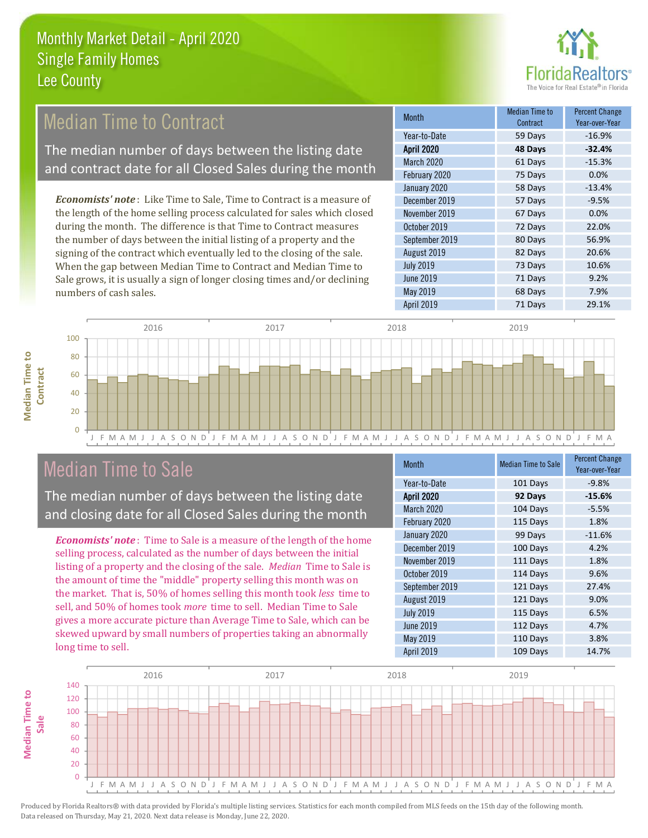

9.2%

7.9%

29.1%

71 Days

68 Days

71 Days

#### **Median Time to Percent Change Median Time to Contract Month** Contract Year-over-Year Year-to-Date  $-16.9%$ 59 Days The median number of days between the listing date **April 2020** 48 Days  $-32.4%$ March 2020 61 Days  $-15.3%$ and contract date for all Closed Sales during the month  $0.0%$ February 2020 75 Days January 2020 58 Days  $-13.4%$ Economists' note: Like Time to Sale, Time to Contract is a measure of December 2019  $-9.5%$ 57 Days the length of the home selling process calculated for sales which closed November 2019 67 Days  $0.0%$ during the month. The difference is that Time to Contract measures October 2019 72 Days 22.0% the number of days between the initial listing of a property and the September 2019 80 Days 56.9% signing of the contract which eventually led to the closing of the sale. 82 Days 20.6% August 2019 **July 2019** 73 Days 10.6% When the gap between Median Time to Contract and Median Time to

**June 2019** 

May 2019

**April 2019** 

2016 2017 2018 2019 100  $80$ 60 40 20  $\Omega$ J A S O N D J F M A M J J A S O N D J F M A M J J A N A M J J A S O N D J F M A J F M A M J

#### **Median Time to Sale**

numbers of cash sales.

**Median Time to** 

Contract

The median number of days between the listing date and closing date for all Closed Sales during the month

Sale grows, it is usually a sign of longer closing times and/or declining

**Economists' note:** Time to Sale is a measure of the length of the home selling process, calculated as the number of days between the initial listing of a property and the closing of the sale. *Median* Time to Sale is the amount of time the "middle" property selling this month was on the market. That is, 50% of homes selling this month took less time to sell, and 50% of homes took more time to sell. Median Time to Sale gives a more accurate picture than Average Time to Sale, which can be skewed upward by small numbers of properties taking an abnormally long time to sell.

| <b>Month</b>      | <b>Median Time to Sale</b> | <b>Percent Change</b><br>Year-over-Year |
|-------------------|----------------------------|-----------------------------------------|
| Year-to-Date      | 101 Days                   | $-9.8%$                                 |
| <b>April 2020</b> | 92 Days                    | $-15.6%$                                |
| March 2020        | 104 Days                   | $-5.5%$                                 |
| February 2020     | 115 Days                   | 1.8%                                    |
| January 2020      | 99 Days                    | $-11.6%$                                |
| December 2019     | 100 Days                   | 4.2%                                    |
| November 2019     | 111 Days                   | 1.8%                                    |
| October 2019      | 114 Days                   | 9.6%                                    |
| September 2019    | 121 Days                   | 27.4%                                   |
| August 2019       | 121 Days                   | 9.0%                                    |
| <b>July 2019</b>  | 115 Days                   | 6.5%                                    |
| <b>June 2019</b>  | 112 Days                   | 4.7%                                    |
| May 2019          | 110 Days                   | 3.8%                                    |
| April 2019        | 109 Days                   | 14.7%                                   |

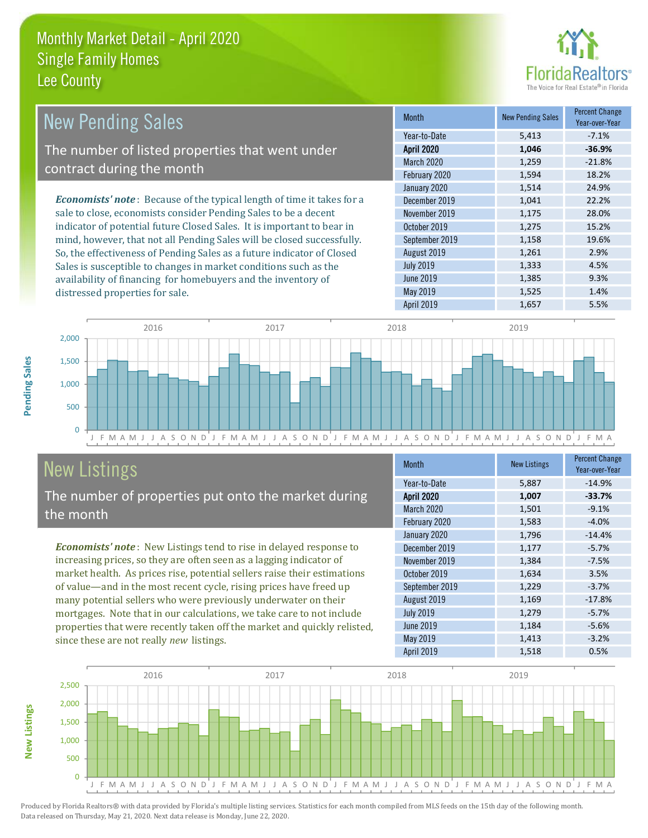distressed properties for sale.



| <b>New Pending Sales</b>                                                      | Month             | <b>New Pending Sales</b> | <b>Percent Change</b><br>Year-over-Year |
|-------------------------------------------------------------------------------|-------------------|--------------------------|-----------------------------------------|
|                                                                               | Year-to-Date      | 5,413                    | $-7.1%$                                 |
| The number of listed properties that went under                               | <b>April 2020</b> | 1,046                    | $-36.9%$                                |
| contract during the month                                                     | March 2020        | 1,259                    | $-21.8%$                                |
|                                                                               | February 2020     | 1,594                    | 18.2%                                   |
|                                                                               | January 2020      | 1,514                    | 24.9%                                   |
| <b>Economists' note:</b> Because of the typical length of time it takes for a | December 2019     | 1,041                    | 22.2%                                   |
| sale to close, economists consider Pending Sales to be a decent               | November 2019     | 1,175                    | 28.0%                                   |
| indicator of potential future Closed Sales. It is important to bear in        | October 2019      | 1,275                    | 15.2%                                   |
| mind, however, that not all Pending Sales will be closed successfully.        | September 2019    | 1,158                    | 19.6%                                   |
| So, the effectiveness of Pending Sales as a future indicator of Closed        | August 2019       | 1,261                    | 2.9%                                    |
| Sales is susceptible to changes in market conditions such as the              | <b>July 2019</b>  | 1,333                    | 4.5%                                    |
| availability of financing for homebuyers and the inventory of                 | June 2019         | 1,385                    | 9.3%                                    |



May 2019

# **New Listings**

Pending Sales

**New Listings** 

The number of properties put onto the market during the month

**Economists' note:** New Listings tend to rise in delayed response to increasing prices, so they are often seen as a lagging indicator of market health. As prices rise, potential sellers raise their estimations of value-and in the most recent cycle, rising prices have freed up many potential sellers who were previously underwater on their mortgages. Note that in our calculations, we take care to not include properties that were recently taken off the market and quickly relisted, since these are not really new listings.

| <b>Month</b>      | <b>New Listings</b> | <b>Percent Change</b><br>Year-over-Year |
|-------------------|---------------------|-----------------------------------------|
| Year-to-Date      | 5,887               | $-14.9%$                                |
| <b>April 2020</b> | 1,007               | $-33.7%$                                |
| March 2020        | 1,501               | $-9.1%$                                 |
| February 2020     | 1,583               | $-4.0%$                                 |
| January 2020      | 1,796               | $-14.4%$                                |
| December 2019     | 1,177               | $-5.7%$                                 |
| November 2019     | 1,384               | $-7.5%$                                 |
| October 2019      | 1,634               | 3.5%                                    |
| September 2019    | 1,229               | $-3.7%$                                 |
| August 2019       | 1,169               | $-17.8%$                                |
| <b>July 2019</b>  | 1,279               | $-5.7%$                                 |
| <b>June 2019</b>  | 1,184               | $-5.6%$                                 |
| <b>May 2019</b>   | 1,413               | $-3.2%$                                 |
| <b>April 2019</b> | 1,518               | 0.5%                                    |

1.525

1.4%

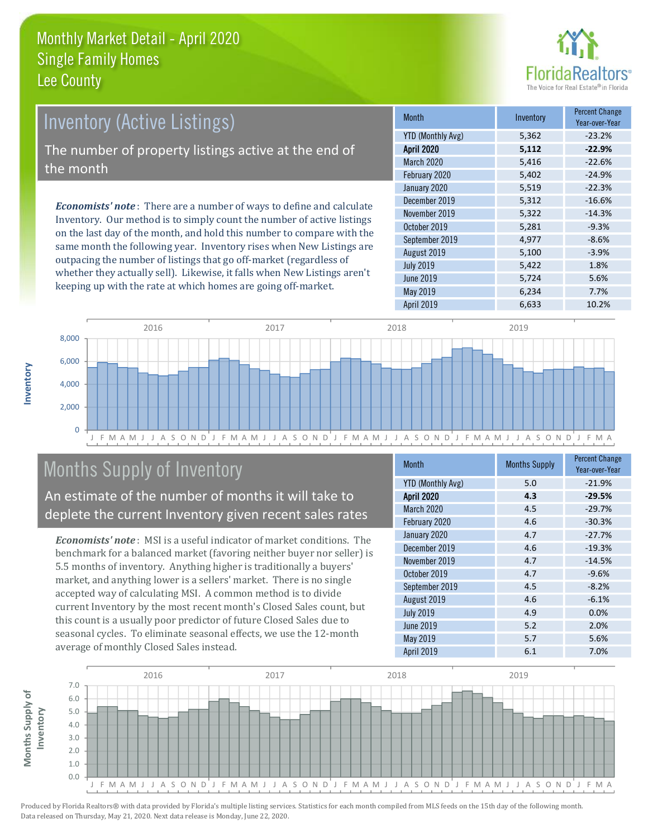

# **Inventory (Active Listings)** The number of property listings active at the end of the month **Economists' note**: There are a number of ways to define and calculate

Inventory. Our method is to simply count the number of active listings on the last day of the month, and hold this number to compare with the same month the following year. Inventory rises when New Listings are outpacing the number of listings that go off-market (regardless of whether they actually sell). Likewise, it falls when New Listings aren't keeping up with the rate at which homes are going off-market.

| <b>Month</b>             | Inventory | <b>Percent Change</b><br>Year-over-Year |
|--------------------------|-----------|-----------------------------------------|
| <b>YTD (Monthly Avg)</b> | 5,362     | $-23.2%$                                |
| <b>April 2020</b>        | 5,112     | $-22.9%$                                |
| March 2020               | 5,416     | $-22.6%$                                |
| February 2020            | 5,402     | $-24.9%$                                |
| January 2020             | 5,519     | $-22.3%$                                |
| December 2019            | 5,312     | $-16.6%$                                |
| November 2019            | 5,322     | $-14.3%$                                |
| October 2019             | 5,281     | $-9.3%$                                 |
| September 2019           | 4,977     | $-8.6%$                                 |
| August 2019              | 5,100     | $-3.9%$                                 |
| <b>July 2019</b>         | 5,422     | 1.8%                                    |
| <b>June 2019</b>         | 5,724     | 5.6%                                    |
| May 2019                 | 6,234     | 7.7%                                    |
| April 2019               | 6,633     | 10.2%                                   |



# **Months Supply of Inventory**

An estimate of the number of months it will take to deplete the current Inventory given recent sales rates

**Economists' note:** MSI is a useful indicator of market conditions. The benchmark for a balanced market (favoring neither buyer nor seller) is 5.5 months of inventory. Anything higher is traditionally a buyers' market, and anything lower is a sellers' market. There is no single accepted way of calculating MSI. A common method is to divide current Inventory by the most recent month's Closed Sales count, but this count is a usually poor predictor of future Closed Sales due to seasonal cycles. To eliminate seasonal effects, we use the 12-month average of monthly Closed Sales instead.

| <b>Month</b>             | <b>Months Supply</b> | <b>Percent Change</b><br>Year-over-Year |
|--------------------------|----------------------|-----------------------------------------|
| <b>YTD (Monthly Avg)</b> | 5.0                  | $-21.9%$                                |
| <b>April 2020</b>        | 4.3                  | $-29.5%$                                |
| March 2020               | 4.5                  | $-29.7%$                                |
| February 2020            | 4.6                  | $-30.3%$                                |
| January 2020             | 4.7                  | $-27.7%$                                |
| December 2019            | 4.6                  | $-19.3%$                                |
| November 2019            | 4.7                  | $-14.5%$                                |
| October 2019             | 4.7                  | $-9.6%$                                 |
| September 2019           | 4.5                  | $-8.2%$                                 |
| August 2019              | 4.6                  | $-6.1%$                                 |
| <b>July 2019</b>         | 4.9                  | 0.0%                                    |
| <b>June 2019</b>         | 5.2                  | 2.0%                                    |
| May 2019                 | 5.7                  | 5.6%                                    |
| <b>April 2019</b>        | 6.1                  | 7.0%                                    |

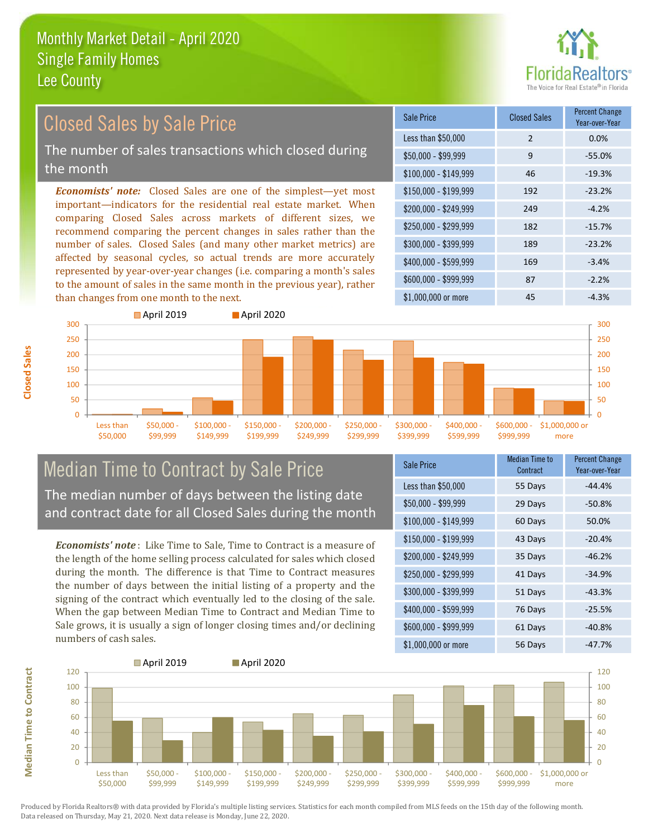

# **Closed Sales by Sale Price**

The number of sales transactions which closed during the month

**Economists' note:** Closed Sales are one of the simplest-yet most important-indicators for the residential real estate market. When comparing Closed Sales across markets of different sizes, we recommend comparing the percent changes in sales rather than the number of sales. Closed Sales (and many other market metrics) are affected by seasonal cycles, so actual trends are more accurately represented by year-over-year changes (i.e. comparing a month's sales to the amount of sales in the same month in the previous year), rather than changes from one month to the next.

| Sale Price            | <b>Closed Sales</b> | <b>Percent Change</b><br>Year-over-Year |
|-----------------------|---------------------|-----------------------------------------|
| Less than \$50,000    | $\overline{2}$      | 0.0%                                    |
| $$50,000 - $99,999$   | 9                   | $-55.0%$                                |
| $$100,000 - $149,999$ | 46                  | $-19.3%$                                |
| $$150,000 - $199,999$ | 192                 | $-23.2%$                                |
| \$200,000 - \$249,999 | 249                 | $-4.2%$                                 |
| \$250,000 - \$299,999 | 182                 | $-15.7%$                                |
| \$300,000 - \$399,999 | 189                 | $-23.2%$                                |
| \$400,000 - \$599,999 | 169                 | $-3.4%$                                 |
| \$600,000 - \$999,999 | 87                  | $-2.2%$                                 |
| $$1.000.000$ or more  | 45                  | $-4.3%$                                 |



# **Median Time to Contract by Sale Price** The median number of days between the listing date

and contract date for all Closed Sales during the month

**Economists' note:** Like Time to Sale, Time to Contract is a measure of the length of the home selling process calculated for sales which closed during the month. The difference is that Time to Contract measures the number of days between the initial listing of a property and the signing of the contract which eventually led to the closing of the sale. When the gap between Median Time to Contract and Median Time to Sale grows, it is usually a sign of longer closing times and/or declining numbers of cash sales.

| Sale Price            | <b>Median Time to</b><br>Contract | <b>Percent Change</b><br>Year-over-Year |
|-----------------------|-----------------------------------|-----------------------------------------|
| Less than \$50,000    | 55 Days                           | $-44.4%$                                |
| $$50,000 - $99,999$   | 29 Days                           | $-50.8%$                                |
| $$100,000 - $149,999$ | 60 Days                           | 50.0%                                   |
| $$150,000 - $199,999$ | 43 Days                           | $-20.4%$                                |
| \$200,000 - \$249,999 | 35 Days                           | $-46.2%$                                |
| \$250,000 - \$299,999 | 41 Days                           | $-34.9%$                                |
| \$300,000 - \$399,999 | 51 Days                           | $-43.3%$                                |
| \$400,000 - \$599,999 | 76 Days                           | $-25.5%$                                |
| \$600,000 - \$999,999 | 61 Days                           | $-40.8%$                                |
| \$1,000,000 or more   | 56 Days                           | $-47.7%$                                |



Produced by Florida Realtors® with data provided by Florida's multiple listing services. Statistics for each month compiled from MLS feeds on the 15th day of the following month. Data released on Thursday, May 21, 2020. Next data release is Monday, June 22, 2020.

**Median Time to Contract**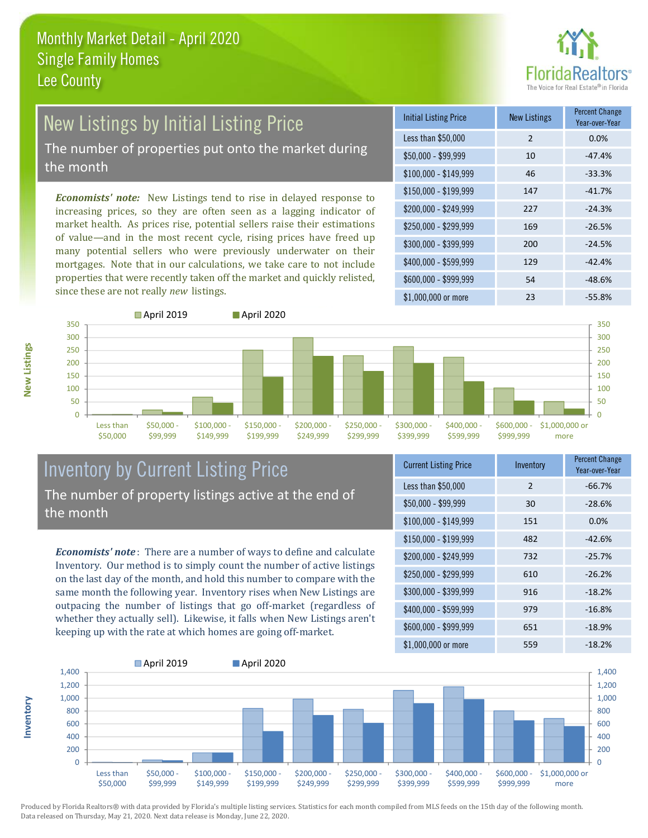

# New Listings by Initial Listing Price

The number of properties put onto the market during the month

**Economists' note:** New Listings tend to rise in delayed response to increasing prices, so they are often seen as a lagging indicator of market health. As prices rise, potential sellers raise their estimations of value-and in the most recent cycle, rising prices have freed up many potential sellers who were previously underwater on their mortgages. Note that in our calculations, we take care to not include properties that were recently taken off the market and quickly relisted, since these are not really new listings.





#### **Inventory by Current Listing Price** The number of property listings active at the end of the month

**Economists' note**: There are a number of ways to define and calculate Inventory. Our method is to simply count the number of active listings on the last day of the month, and hold this number to compare with the same month the following year. Inventory rises when New Listings are outpacing the number of listings that go off-market (regardless of whether they actually sell). Likewise, it falls when New Listings aren't keeping up with the rate at which homes are going off-market.

| <b>Current Listing Price</b> | Inventory      | Percent Change<br>Year-over-Year |
|------------------------------|----------------|----------------------------------|
| Less than \$50,000           | $\overline{2}$ | $-66.7%$                         |
| $$50,000 - $99,999$          | 30             | $-28.6%$                         |
| \$100,000 - \$149,999        | 151            | 0.0%                             |
| $$150,000 - $199,999$        | 482            | $-42.6%$                         |
| \$200,000 - \$249,999        | 732            | $-25.7%$                         |
| \$250,000 - \$299,999        | 610            | $-26.2%$                         |
| \$300,000 - \$399,999        | 916            | $-18.2%$                         |
| \$400,000 - \$599,999        | 979            | $-16.8%$                         |
| \$600,000 - \$999,999        | 651            | $-18.9%$                         |
| \$1,000,000 or more          | 559            | $-18.2%$                         |



Produced by Florida Realtors® with data provided by Florida's multiple listing services. Statistics for each month compiled from MLS feeds on the 15th day of the following month. Data released on Thursday, May 21, 2020. Next data release is Monday, June 22, 2020.

nventory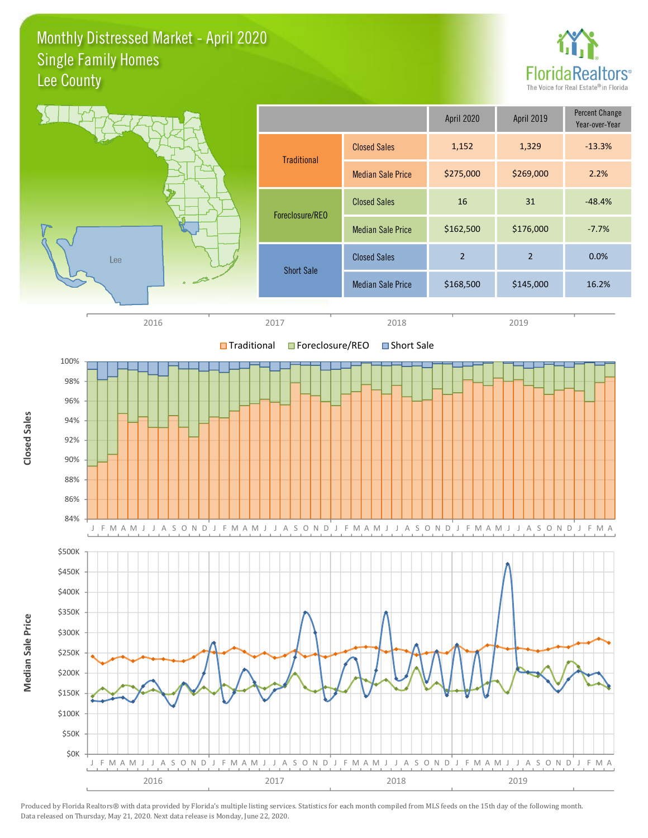#### Monthly Distressed Market - April 2020 **Single Family Homes** Lee County





Produced by Florida Realtors® with data provided by Florida's multiple listing services. Statistics for each month compiled from MLS feeds on the 15th day of the following month. Data released on Thursday, May 21, 2020. Next data release is Monday, June 22, 2020.

**Closed Sales**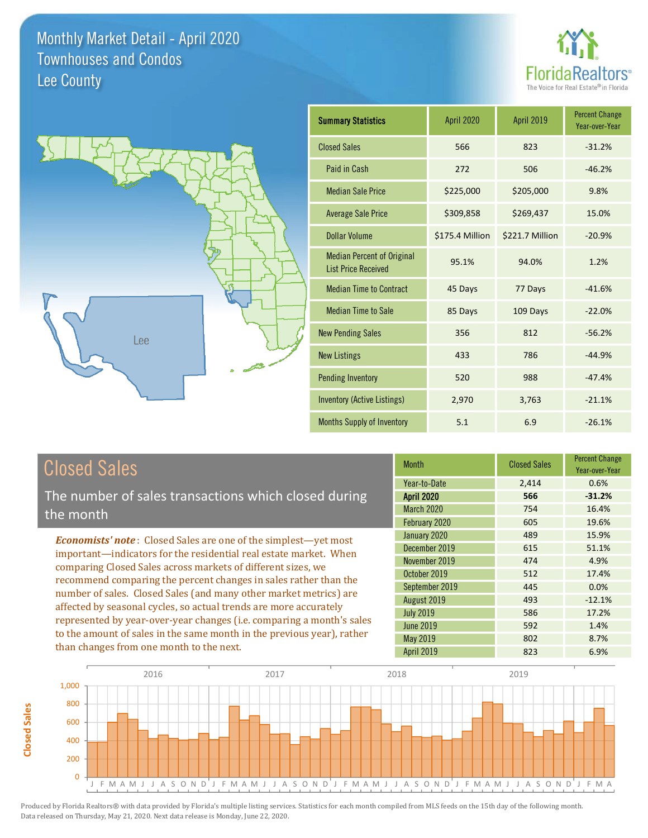



### **Closed Sales**

**Closed Sales** 

The number of sales transactions which closed during the month

**Economists' note:** Closed Sales are one of the simplest-yet most important-indicators for the residential real estate market. When comparing Closed Sales across markets of different sizes, we recommend comparing the percent changes in sales rather than the number of sales. Closed Sales (and many other market metrics) are affected by seasonal cycles, so actual trends are more accurately represented by year-over-year changes (i.e. comparing a month's sales to the amount of sales in the same month in the previous year), rather than changes from one month to the next.

| <b>Month</b>      | <b>Closed Sales</b> | Percent Change<br>Year-over-Year |
|-------------------|---------------------|----------------------------------|
| Year-to-Date      | 2,414               | 0.6%                             |
| <b>April 2020</b> | 566                 | $-31.2%$                         |
| <b>March 2020</b> | 754                 | 16.4%                            |
| February 2020     | 605                 | 19.6%                            |
| January 2020      | 489                 | 15.9%                            |
| December 2019     | 615                 | 51.1%                            |
| November 2019     | 474                 | 4.9%                             |
| October 2019      | 512                 | 17.4%                            |
| September 2019    | 445                 | 0.0%                             |
| August 2019       | 493                 | $-12.1%$                         |
| <b>July 2019</b>  | 586                 | 17.2%                            |
| <b>June 2019</b>  | 592                 | 1.4%                             |
| May 2019          | 802                 | 8.7%                             |
| <b>Anril 2019</b> | 823                 | 6.9%                             |

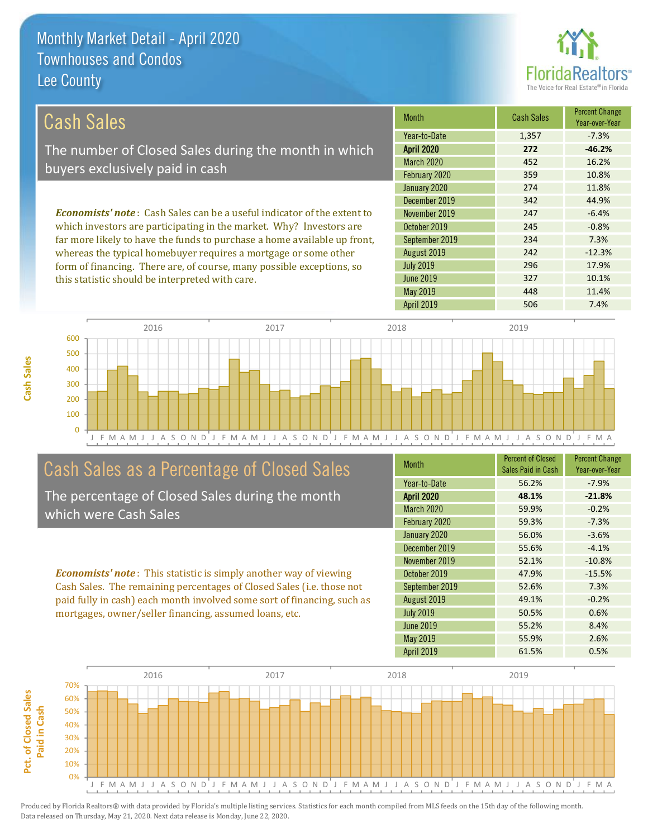this statistic should be interpreted with care.



10.1%

11.4%

7.4%

| Cash Sales                                                                     | <b>Month</b>      | <b>Cash Sales</b> | <b>Percent Change</b><br>Year-over-Year |
|--------------------------------------------------------------------------------|-------------------|-------------------|-----------------------------------------|
|                                                                                | Year-to-Date      | 1,357             | $-7.3%$                                 |
| The number of Closed Sales during the month in which                           | <b>April 2020</b> | 272               | $-46.2%$                                |
| buyers exclusively paid in cash                                                | <b>March 2020</b> | 452               | 16.2%                                   |
|                                                                                | February 2020     | 359               | 10.8%                                   |
|                                                                                | January 2020      | 274               | 11.8%                                   |
|                                                                                | December 2019     | 342               | 44.9%                                   |
| <b>Economists' note:</b> Cash Sales can be a useful indicator of the extent to | November 2019     | 247               | $-6.4%$                                 |
| which investors are participating in the market. Why? Investors are            | October 2019      | 245               | $-0.8%$                                 |
| far more likely to have the funds to purchase a home available up front,       | September 2019    | 234               | 7.3%                                    |
| whereas the typical homebuyer requires a mortgage or some other                | August 2019       | 242               | $-12.3%$                                |
| form of financing. There are, of course, many possible exceptions, so          | <b>July 2019</b>  | 296               | 17.9%                                   |

**June 2019** 

May 2019

**April 2019** 

2016 2017 2018 2019 600 500 400 300 200 100  $\Omega$ J F M A M J J A S O N D J F M A M J J A S O N D J J A S O N D O N D O J G M A M J J A S O N D J F M A

#### Cash Sales as a Percentage of Closed Sales

The percentage of Closed Sales during the month which were Cash Sales

**Economists' note:** This statistic is simply another way of viewing Cash Sales. The remaining percentages of Closed Sales (i.e. those not paid fully in cash) each month involved some sort of financing, such as mortgages, owner/seller financing, assumed loans, etc.

| <b>Month</b>      | <b>Percent of Closed</b> | <b>Percent Change</b> |
|-------------------|--------------------------|-----------------------|
|                   | Sales Paid in Cash       | Year-over-Year        |
| Year-to-Date      | 56.2%                    | $-7.9%$               |
| <b>April 2020</b> | 48.1%                    | $-21.8%$              |
| March 2020        | 59.9%                    | $-0.2%$               |
| February 2020     | 59.3%                    | $-7.3%$               |
| January 2020      | 56.0%                    | $-3.6%$               |
| December 2019     | 55.6%                    | $-4.1%$               |
| November 2019     | 52.1%                    | $-10.8%$              |
| October 2019      | 47.9%                    | $-15.5%$              |
| September 2019    | 52.6%                    | 7.3%                  |
| August 2019       | 49.1%                    | $-0.2%$               |
| <b>July 2019</b>  | 50.5%                    | 0.6%                  |
| June 2019         | 55.2%                    | 8.4%                  |
| May 2019          | 55.9%                    | 2.6%                  |
| <b>April 2019</b> | 61.5%                    | 0.5%                  |

327

448

506

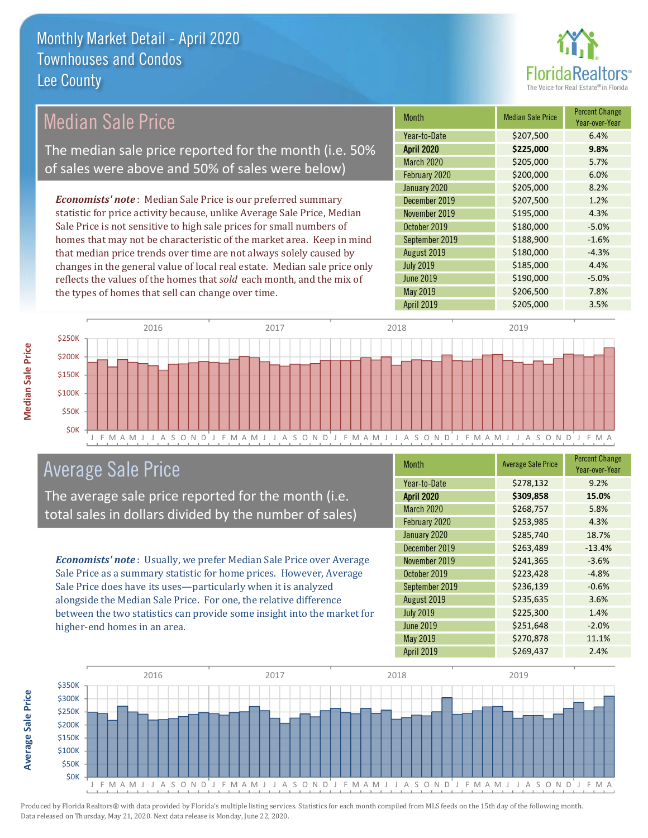

| <b>Month</b><br><b>Median Sale Price</b>                                                      | <b>Median Sale Price</b> | <b>FULLE COLDITION</b><br>Year-over-Year |
|-----------------------------------------------------------------------------------------------|--------------------------|------------------------------------------|
| Year-to-Date                                                                                  | \$207,500                | 6.4%                                     |
| <b>April 2020</b><br>The median sale price reported for the month (i.e. 50%                   | \$225,000                | 9.8%                                     |
| March 2020<br>of sales were above and 50% of sales were below)                                | \$205,000                | 5.7%                                     |
| February 2020                                                                                 | \$200,000                | 6.0%                                     |
| January 2020                                                                                  | \$205,000                | 8.2%                                     |
| <b>Economists' note:</b> Median Sale Price is our preferred summary<br>December 2019          | \$207,500                | 1.2%                                     |
| statistic for price activity because, unlike Average Sale Price, Median<br>November 2019      | \$195,000                | 4.3%                                     |
| Sale Price is not sensitive to high sale prices for small numbers of<br>October 2019          | \$180,000                | $-5.0%$                                  |
| homes that may not be characteristic of the market area. Keep in mind<br>September 2019       | \$188,900                | $-1.6%$                                  |
| that median price trends over time are not always solely caused by<br>August 2019             | \$180,000                | $-4.3%$                                  |
| <b>July 2019</b><br>changes in the general value of local real estate. Median sale price only | \$185,000                | 4.4%                                     |
| <b>June 2019</b><br>reflects the values of the homes that sold each month, and the mix of     | \$190,000                | $-5.0%$                                  |
| May 2019<br>the types of homes that sell can change over time.                                | \$206,500                | 7.8%                                     |
| <b>April 2019</b>                                                                             | \$205,000                | 3.5%                                     |
| 2016<br>2017<br>2018                                                                          | 2019                     |                                          |
| \$250K                                                                                        |                          |                                          |
| \$200K                                                                                        |                          |                                          |
|                                                                                               |                          |                                          |
| \$150K                                                                                        |                          |                                          |

**Average Sale Price** 



# **Average Sale Price**

The average sale price reported for the month (i.e. total sales in dollars divided by the number of sales)

**Economists' note**: Usually, we prefer Median Sale Price over Average Sale Price as a summary statistic for home prices. However, Average Sale Price does have its uses-particularly when it is analyzed alongside the Median Sale Price. For one, the relative difference between the two statistics can provide some insight into the market for higher-end homes in an area.

| <b>Month</b>      | <b>Average Sale Price</b> | <b>Percent Change</b><br>Year-over-Year |
|-------------------|---------------------------|-----------------------------------------|
| Year-to-Date      | \$278,132                 | 9.2%                                    |
| <b>April 2020</b> | \$309,858                 | 15.0%                                   |
| March 2020        | \$268,757                 | 5.8%                                    |
| February 2020     | \$253,985                 | 4.3%                                    |
| January 2020      | \$285,740                 | 18.7%                                   |
| December 2019     | \$263,489                 | $-13.4%$                                |
| November 2019     | \$241,365                 | $-3.6%$                                 |
| October 2019      | \$223,428                 | $-4.8%$                                 |
| September 2019    | \$236,139                 | $-0.6%$                                 |
| August 2019       | \$235,635                 | 3.6%                                    |
| <b>July 2019</b>  | \$225,300                 | 1.4%                                    |
| <b>June 2019</b>  | \$251,648                 | $-2.0%$                                 |
| May 2019          | \$270,878                 | 11.1%                                   |
| <b>April 2019</b> | \$269,437                 | 2.4%                                    |

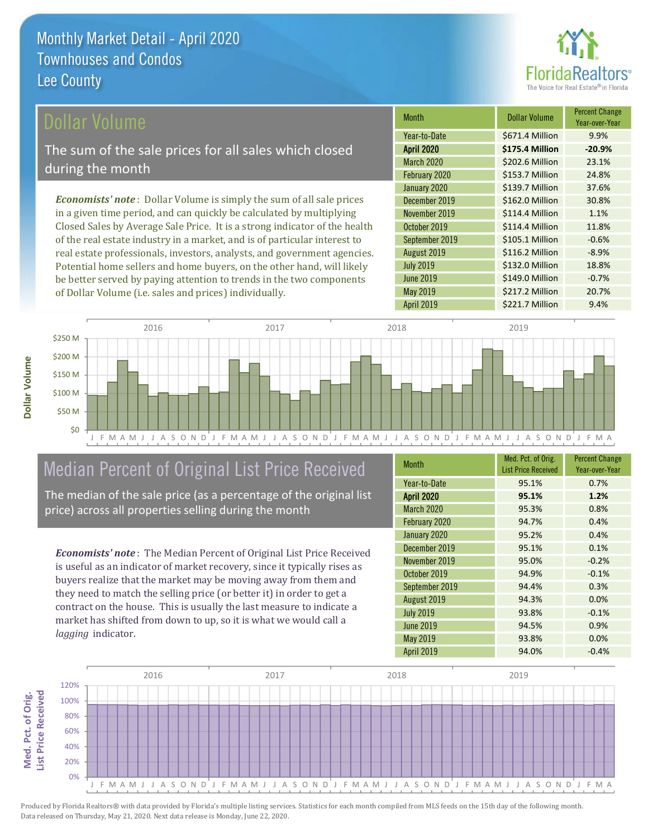

#### Dollar Volume

The sum of the sale prices for all sales which closed during the month

**Economists' note**: Dollar Volume is simply the sum of all sale prices in a given time period, and can quickly be calculated by multiplying Closed Sales by Average Sale Price. It is a strong indicator of the health of the real estate industry in a market, and is of particular interest to real estate professionals, investors, analysts, and government agencies. Potential home sellers and home buyers, on the other hand, will likely be better served by paying attention to trends in the two components of Dollar Volume (i.e. sales and prices) individually.

| Month             | <b>Dollar Volume</b> | <b>Percent Change</b><br>Year-over-Year |
|-------------------|----------------------|-----------------------------------------|
| Year-to-Date      | \$671.4 Million      | 9.9%                                    |
| <b>April 2020</b> | \$175.4 Million      | $-20.9%$                                |
| <b>March 2020</b> | \$202.6 Million      | 23.1%                                   |
| February 2020     | \$153.7 Million      | 24.8%                                   |
| January 2020      | \$139.7 Million      | 37.6%                                   |
| December 2019     | \$162.0 Million      | 30.8%                                   |
| November 2019     | \$114.4 Million      | 1.1%                                    |
| October 2019      | \$114.4 Million      | 11.8%                                   |
| September 2019    | \$105.1 Million      | $-0.6%$                                 |
| August 2019       | \$116.2 Million      | $-8.9%$                                 |
| <b>July 2019</b>  | \$132.0 Million      | 18.8%                                   |
| <b>June 2019</b>  | \$149.0 Million      | $-0.7%$                                 |
| May 2019          | \$217.2 Million      | 20.7%                                   |
| <b>April 2019</b> | \$221.7 Million      | 9.4%                                    |



# Median Percent of Original List Price Received

The median of the sale price (as a percentage of the original list price) across all properties selling during the month

**Economists' note:** The Median Percent of Original List Price Received is useful as an indicator of market recovery, since it typically rises as buyers realize that the market may be moving away from them and they need to match the selling price (or better it) in order to get a contract on the house. This is usually the last measure to indicate a market has shifted from down to up, so it is what we would call a lagging indicator.

| <b>Month</b>      | Med. Pct. of Orig.         | <b>Percent Change</b> |
|-------------------|----------------------------|-----------------------|
|                   | <b>List Price Received</b> | Year-over-Year        |
| Year-to-Date      | 95.1%                      | 0.7%                  |
| <b>April 2020</b> | 95.1%                      | 1.2%                  |
| <b>March 2020</b> | 95.3%                      | 0.8%                  |
| February 2020     | 94.7%                      | 0.4%                  |
| January 2020      | 95.2%                      | 0.4%                  |
| December 2019     | 95.1%                      | 0.1%                  |
| November 2019     | 95.0%                      | $-0.2%$               |
| October 2019      | 94.9%                      | $-0.1%$               |
| September 2019    | 94.4%                      | 0.3%                  |
| August 2019       | 94.3%                      | 0.0%                  |
| <b>July 2019</b>  | 93.8%                      | $-0.1%$               |
| <b>June 2019</b>  | 94.5%                      | 0.9%                  |
| May 2019          | 93.8%                      | 0.0%                  |
| <b>April 2019</b> | 94.0%                      | $-0.4%$               |

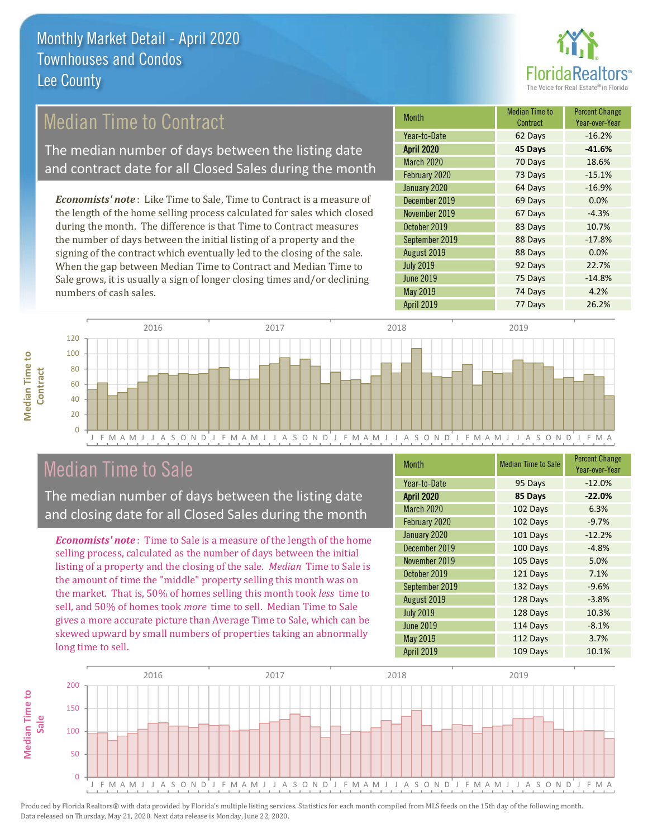

# **Median Time to Contract**

The median number of days between the listing date and contract date for all Closed Sales during the month

**Economists' note:** Like Time to Sale, Time to Contract is a measure of the length of the home selling process calculated for sales which closed during the month. The difference is that Time to Contract measures the number of days between the initial listing of a property and the signing of the contract which eventually led to the closing of the sale. When the gap between Median Time to Contract and Median Time to Sale grows, it is usually a sign of longer closing times and/or declining numbers of cash sales.

| Month             | <b>Median Time to</b><br>Contract | <b>Percent Change</b><br>Year-over-Year |
|-------------------|-----------------------------------|-----------------------------------------|
| Year-to-Date      | 62 Days                           | $-16.2%$                                |
| <b>April 2020</b> | 45 Days                           | $-41.6%$                                |
| March 2020        | 70 Days                           | 18.6%                                   |
| February 2020     | 73 Days                           | $-15.1%$                                |
| January 2020      | 64 Days                           | $-16.9%$                                |
| December 2019     | 69 Days                           | 0.0%                                    |
| November 2019     | 67 Days                           | $-4.3%$                                 |
| October 2019      | 83 Days                           | 10.7%                                   |
| September 2019    | 88 Days                           | $-17.8%$                                |
| August 2019       | 88 Days                           | 0.0%                                    |
| <b>July 2019</b>  | 92 Days                           | 22.7%                                   |
| <b>June 2019</b>  | 75 Days                           | $-14.8%$                                |
| May 2019          | 74 Days                           | 4.2%                                    |
| April 2019        | 77 Days                           | 26.2%                                   |



#### **Median Time to Sale**

**Median Time to** 

The median number of days between the listing date and closing date for all Closed Sales during the month

**Economists' note:** Time to Sale is a measure of the length of the home selling process, calculated as the number of days between the initial listing of a property and the closing of the sale. Median Time to Sale is the amount of time the "middle" property selling this month was on the market. That is, 50% of homes selling this month took less time to sell, and 50% of homes took more time to sell. Median Time to Sale gives a more accurate picture than Average Time to Sale, which can be skewed upward by small numbers of properties taking an abnormally long time to sell.

| <b>Month</b>      | <b>Median Time to Sale</b> | <b>Percent Change</b><br>Year-over-Year |
|-------------------|----------------------------|-----------------------------------------|
| Year-to-Date      | 95 Days                    | $-12.0%$                                |
| <b>April 2020</b> | 85 Days                    | $-22.0%$                                |
| <b>March 2020</b> | 102 Days                   | 6.3%                                    |
| February 2020     | 102 Days                   | $-9.7%$                                 |
| January 2020      | 101 Days                   | $-12.2%$                                |
| December 2019     | 100 Days                   | $-4.8%$                                 |
| November 2019     | 105 Days                   | 5.0%                                    |
| October 2019      | 121 Days                   | 7.1%                                    |
| September 2019    | 132 Days                   | $-9.6%$                                 |
| August 2019       | 128 Days                   | $-3.8%$                                 |
| <b>July 2019</b>  | 128 Days                   | 10.3%                                   |
| <b>June 2019</b>  | 114 Days                   | $-8.1%$                                 |
| May 2019          | 112 Days                   | 3.7%                                    |
| <b>April 2019</b> | 109 Days                   | 10.1%                                   |

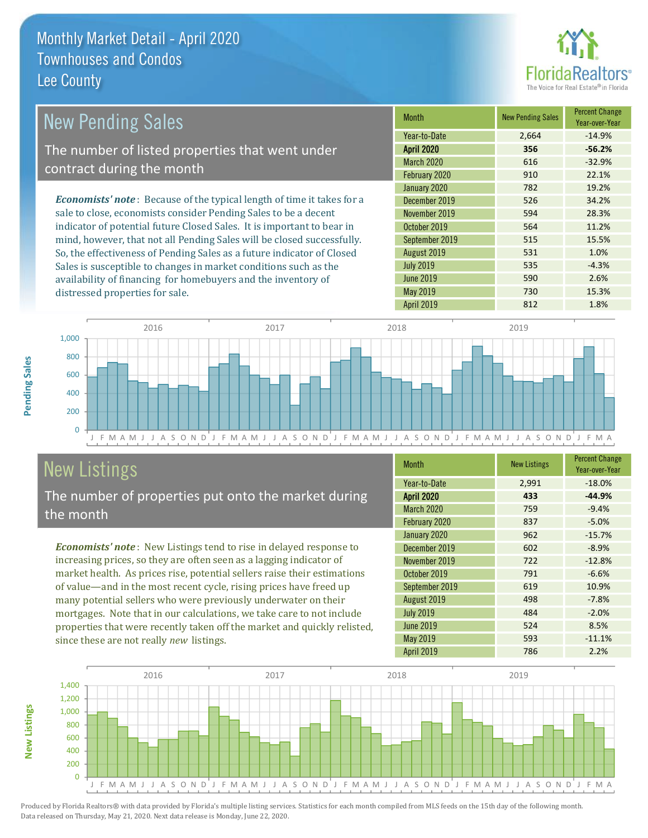distressed properties for sale.



2.6%

15.3%

| <b>New Pending Sales</b>                                                       | <b>Month</b>      | <b>New Pending Sales</b> | <b>Percent Change</b><br>Year-over-Year |
|--------------------------------------------------------------------------------|-------------------|--------------------------|-----------------------------------------|
|                                                                                | Year-to-Date      | 2.664                    | $-14.9%$                                |
| The number of listed properties that went under                                | <b>April 2020</b> | 356                      | $-56.2%$                                |
| contract during the month                                                      | <b>March 2020</b> | 616                      | $-32.9%$                                |
|                                                                                | February 2020     | 910                      | 22.1%                                   |
|                                                                                | January 2020      | 782                      | 19.2%                                   |
| <b>Economists' note</b> : Because of the typical length of time it takes for a | December 2019     | 526                      | 34.2%                                   |
| sale to close, economists consider Pending Sales to be a decent                | November 2019     | 594                      | 28.3%                                   |
| indicator of potential future Closed Sales. It is important to bear in         | October 2019      | 564                      | 11.2%                                   |
| mind, however, that not all Pending Sales will be closed successfully.         | September 2019    | 515                      | 15.5%                                   |
| So, the effectiveness of Pending Sales as a future indicator of Closed         | August 2019       | 531                      | 1.0%                                    |
| Sales is susceptible to changes in market conditions such as the               | <b>July 2019</b>  | 535                      | $-4.3%$                                 |

**June 2019** 

May 2019



# **New Listings**

Pending Sales

**New Listings** 

The number of properties put onto the market during the month

availability of financing for homebuyers and the inventory of

Economists' note: New Listings tend to rise in delayed response to increasing prices, so they are often seen as a lagging indicator of market health. As prices rise, potential sellers raise their estimations of value-and in the most recent cycle, rising prices have freed up many potential sellers who were previously underwater on their mortgages. Note that in our calculations, we take care to not include properties that were recently taken off the market and quickly relisted, since these are not really new listings.

| <b>Month</b>      | <b>New Listings</b> | <b>Percent Change</b><br>Year-over-Year |
|-------------------|---------------------|-----------------------------------------|
| Year-to-Date      | 2,991               | $-18.0%$                                |
| <b>April 2020</b> | 433                 | $-44.9%$                                |
| <b>March 2020</b> | 759                 | $-9.4%$                                 |
| February 2020     | 837                 | $-5.0%$                                 |
| January 2020      | 962                 | $-15.7%$                                |
| December 2019     | 602                 | $-8.9%$                                 |
| November 2019     | 722                 | $-12.8%$                                |
| October 2019      | 791                 | $-6.6%$                                 |
| September 2019    | 619                 | 10.9%                                   |
| August 2019       | 498                 | $-7.8%$                                 |
| <b>July 2019</b>  | 484                 | $-2.0%$                                 |
| <b>June 2019</b>  | 524                 | 8.5%                                    |
| May 2019          | 593                 | $-11.1%$                                |
| <b>April 2019</b> | 786                 | 2.2%                                    |

590

730

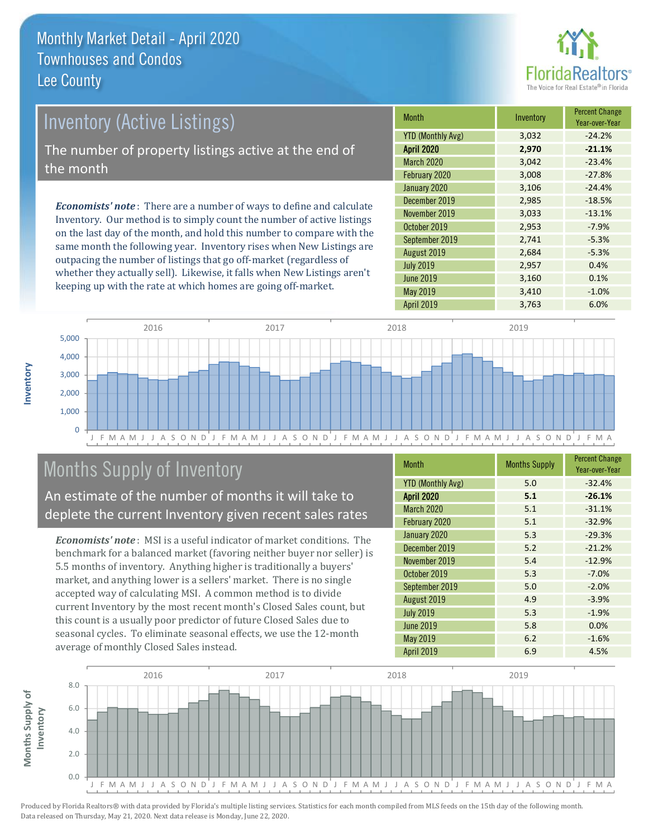

| <b>Inventory (Active Listings)</b>                   | <b>Month</b> |  |
|------------------------------------------------------|--------------|--|
|                                                      | YTD (N       |  |
| The number of property listings active at the end of |              |  |
| the month                                            | March        |  |
|                                                      | Februa       |  |
|                                                      | Januar       |  |
|                                                      | Decem        |  |

**Economists' note**: There are a number of ways to define and calculate Inventory. Our method is to simply count the number of active listings on the last day of the month, and hold this number to compare with the same month the following year. Inventory rises when New Listings are outpacing the number of listings that go off-market (regardless of whether they actually sell). Likewise, it falls when New Listings aren't keeping up with the rate at which homes are going off-market.

| <b>Month</b>             | Inventory | <b>Percent Change</b><br>Year-over-Year |
|--------------------------|-----------|-----------------------------------------|
| <b>YTD (Monthly Avg)</b> | 3,032     | $-24.2%$                                |
| <b>April 2020</b>        | 2,970     | $-21.1%$                                |
| <b>March 2020</b>        | 3,042     | $-23.4%$                                |
| February 2020            | 3,008     | $-27.8%$                                |
| January 2020             | 3,106     | $-24.4%$                                |
| December 2019            | 2,985     | $-18.5%$                                |
| November 2019            | 3,033     | $-13.1%$                                |
| October 2019             | 2,953     | $-7.9%$                                 |
| September 2019           | 2,741     | $-5.3%$                                 |
| August 2019              | 2,684     | $-5.3%$                                 |
| <b>July 2019</b>         | 2,957     | 0.4%                                    |
| <b>June 2019</b>         | 3,160     | 0.1%                                    |
| May 2019                 | 3,410     | $-1.0%$                                 |
| April 2019               | 3,763     | 6.0%                                    |



# Months Supply of Inventory

An estimate of the number of months it will take to deplete the current Inventory given recent sales rates

**Economists' note:** MSI is a useful indicator of market conditions. The benchmark for a balanced market (favoring neither buyer nor seller) is 5.5 months of inventory. Anything higher is traditionally a buyers' market, and anything lower is a sellers' market. There is no single accepted way of calculating MSI. A common method is to divide current Inventory by the most recent month's Closed Sales count, but this count is a usually poor predictor of future Closed Sales due to seasonal cycles. To eliminate seasonal effects, we use the 12-month average of monthly Closed Sales instead.

| <b>Month</b>             | <b>Months Supply</b> | <b>Percent Change</b><br>Year-over-Year |
|--------------------------|----------------------|-----------------------------------------|
| <b>YTD (Monthly Avg)</b> | 5.0                  | $-32.4%$                                |
| <b>April 2020</b>        | 5.1                  | $-26.1%$                                |
| <b>March 2020</b>        | 5.1                  | $-31.1%$                                |
| February 2020            | 5.1                  | $-32.9%$                                |
| January 2020             | 5.3                  | $-29.3%$                                |
| December 2019            | 5.2                  | $-21.2%$                                |
| November 2019            | 5.4                  | $-12.9%$                                |
| October 2019             | 5.3                  | $-7.0%$                                 |
| September 2019           | 5.0                  | $-2.0%$                                 |
| August 2019              | 4.9                  | $-3.9%$                                 |
| <b>July 2019</b>         | 5.3                  | $-1.9%$                                 |
| <b>June 2019</b>         | 5.8                  | 0.0%                                    |
| May 2019                 | 6.2                  | $-1.6%$                                 |
| <b>April 2019</b>        | 6.9                  | 4.5%                                    |

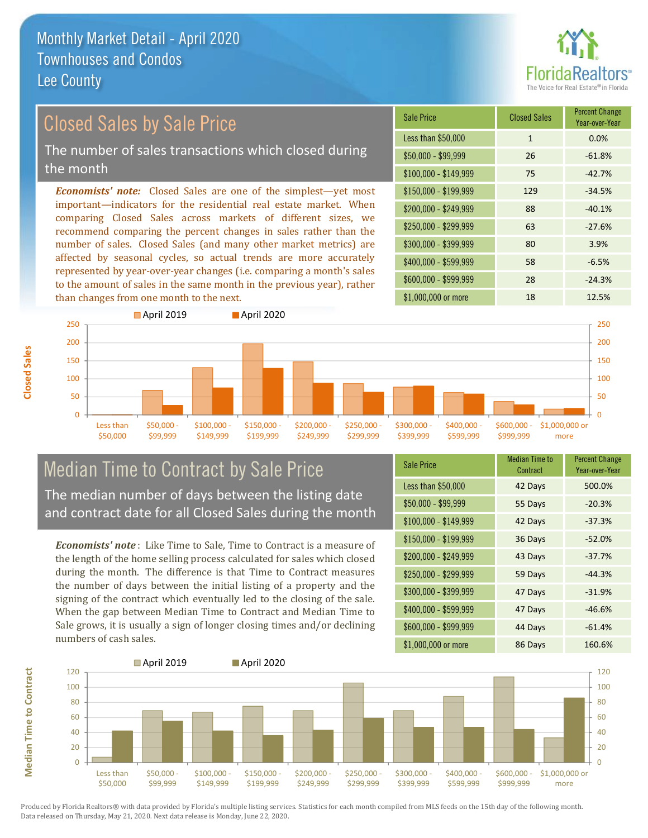

## **Closed Sales by Sale Price**

The number of sales transactions which closed during the month

**Economists' note:** Closed Sales are one of the simplest-yet most important-indicators for the residential real estate market. When comparing Closed Sales across markets of different sizes, we recommend comparing the percent changes in sales rather than the number of sales. Closed Sales (and many other market metrics) are affected by seasonal cycles, so actual trends are more accurately represented by year-over-year changes (i.e. comparing a month's sales to the amount of sales in the same month in the previous year), rather than changes from one month to the next.

| <b>Sale Price</b>     | <b>Closed Sales</b> | <b>Percent Change</b><br>Year-over-Year |
|-----------------------|---------------------|-----------------------------------------|
| Less than \$50,000    | $\mathbf{1}$        | 0.0%                                    |
| $$50,000 - $99,999$   | 26                  | $-61.8%$                                |
| $$100,000 - $149,999$ | 75                  | $-42.7%$                                |
| $$150,000 - $199,999$ | 129                 | $-34.5%$                                |
| \$200,000 - \$249,999 | 88                  | $-40.1%$                                |
| \$250,000 - \$299,999 | 63                  | $-27.6%$                                |
| \$300,000 - \$399,999 | 80                  | 3.9%                                    |
| \$400,000 - \$599,999 | 58                  | $-6.5%$                                 |
| \$600,000 - \$999,999 | 28                  | $-24.3%$                                |
| $$1.000.000$ or more  | 18                  | 12.5%                                   |



# **Median Time to Contract by Sale Price** The median number of days between the listing date

and contract date for all Closed Sales during the month

**Economists' note:** Like Time to Sale, Time to Contract is a measure of the length of the home selling process calculated for sales which closed during the month. The difference is that Time to Contract measures the number of days between the initial listing of a property and the signing of the contract which eventually led to the closing of the sale. When the gap between Median Time to Contract and Median Time to Sale grows, it is usually a sign of longer closing times and/or declining numbers of cash sales.

| <b>Sale Price</b>     | <b>Median Time to</b><br>Contract | <b>Percent Change</b><br>Year-over-Year |
|-----------------------|-----------------------------------|-----------------------------------------|
| Less than \$50,000    | 42 Days                           | 500.0%                                  |
| $$50,000 - $99,999$   | 55 Days                           | $-20.3%$                                |
| $$100,000 - $149,999$ | 42 Days                           | $-37.3%$                                |
| \$150,000 - \$199,999 | 36 Days                           | $-52.0%$                                |
| \$200,000 - \$249,999 | 43 Days                           | $-37.7%$                                |
| \$250,000 - \$299,999 | 59 Days                           | $-44.3%$                                |
| \$300,000 - \$399,999 | 47 Days                           | $-31.9%$                                |
| \$400,000 - \$599,999 | 47 Days                           | $-46.6%$                                |
| \$600,000 - \$999,999 | 44 Days                           | $-61.4%$                                |
| \$1,000,000 or more   | 86 Days                           | 160.6%                                  |



Produced by Florida Realtors® with data provided by Florida's multiple listing services. Statistics for each month compiled from MLS feeds on the 15th day of the following month. Data released on Thursday, May 21, 2020. Next data release is Monday, June 22, 2020.

**Median Time to Contract**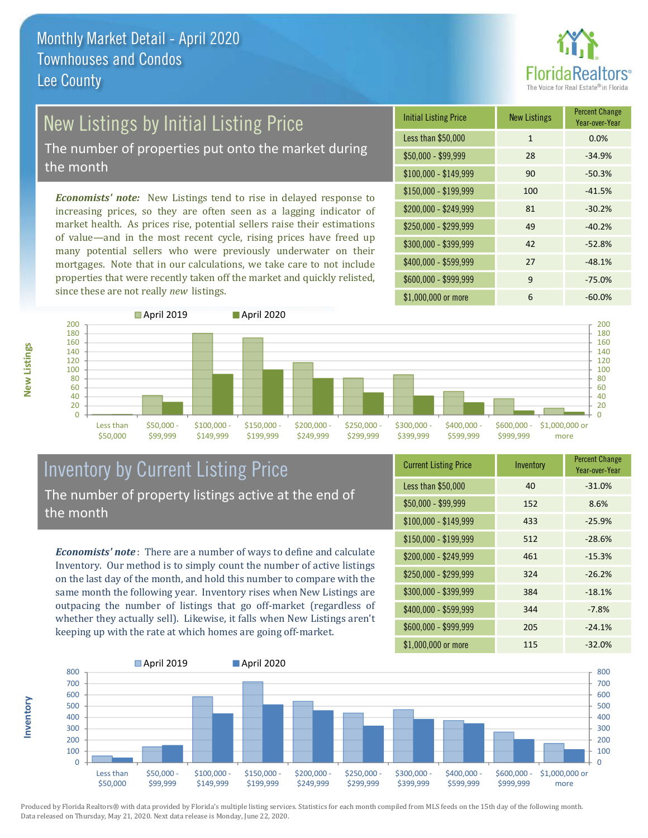

# New Listings by Initial Listing Price

The number of properties put onto the market during the month

**Economists' note:** New Listings tend to rise in delayed response to increasing prices, so they are often seen as a lagging indicator of market health. As prices rise, potential sellers raise their estimations of value-and in the most recent cycle, rising prices have freed up many potential sellers who were previously underwater on their mortgages. Note that in our calculations, we take care to not include properties that were recently taken off the market and quickly relisted, since these are not really new listings.

| <b>Initial Listing Price</b> | <b>New Listings</b> | <b>Percent Change</b><br>Year-over-Year |
|------------------------------|---------------------|-----------------------------------------|
| Less than \$50,000           | 1                   | 0.0%                                    |
| $$50,000 - $99,999$          | 28                  | $-34.9%$                                |
| $$100,000 - $149,999$        | 90                  | $-50.3%$                                |
| $$150,000 - $199,999$        | 100                 | $-41.5%$                                |
| \$200,000 - \$249,999        | 81                  | $-30.2%$                                |
| \$250,000 - \$299,999        | 49                  | $-40.2%$                                |
| \$300,000 - \$399,999        | 42                  | $-52.8%$                                |
| \$400,000 - \$599,999        | 27                  | $-48.1%$                                |
| \$600,000 - \$999,999        | 9                   | $-75.0%$                                |
| \$1,000,000 or more          | 6                   | $-60.0%$                                |



#### **Inventory by Current Listing Price** The number of property listings active at the end of the month

**Economists' note**: There are a number of ways to define and calculate Inventory. Our method is to simply count the number of active listings on the last day of the month, and hold this number to compare with the same month the following year. Inventory rises when New Listings are outpacing the number of listings that go off-market (regardless of whether they actually sell). Likewise, it falls when New Listings aren't keeping up with the rate at which homes are going off-market.

| <b>Current Listing Price</b> | Inventory | <b>Percent Change</b><br>Year-over-Year |
|------------------------------|-----------|-----------------------------------------|
| Less than \$50,000           | 40        | $-31.0%$                                |
| $$50,000 - $99,999$          | 152       | 8.6%                                    |
| $$100,000 - $149,999$        | 433       | $-25.9%$                                |
| $$150,000 - $199,999$        | 512       | $-28.6%$                                |
| $$200,000 - $249,999$        | 461       | $-15.3%$                                |
| \$250,000 - \$299,999        | 324       | $-26.2%$                                |
| \$300,000 - \$399,999        | 384       | $-18.1%$                                |
| \$400,000 - \$599,999        | 344       | $-7.8%$                                 |
| \$600,000 - \$999,999        | 205       | $-24.1%$                                |
| \$1,000,000 or more          | 115       | $-32.0%$                                |



Produced by Florida Realtors® with data provided by Florida's multiple listing services. Statistics for each month compiled from MLS feeds on the 15th day of the following month. Data released on Thursday, May 21, 2020. Next data release is Monday, June 22, 2020.

nventory